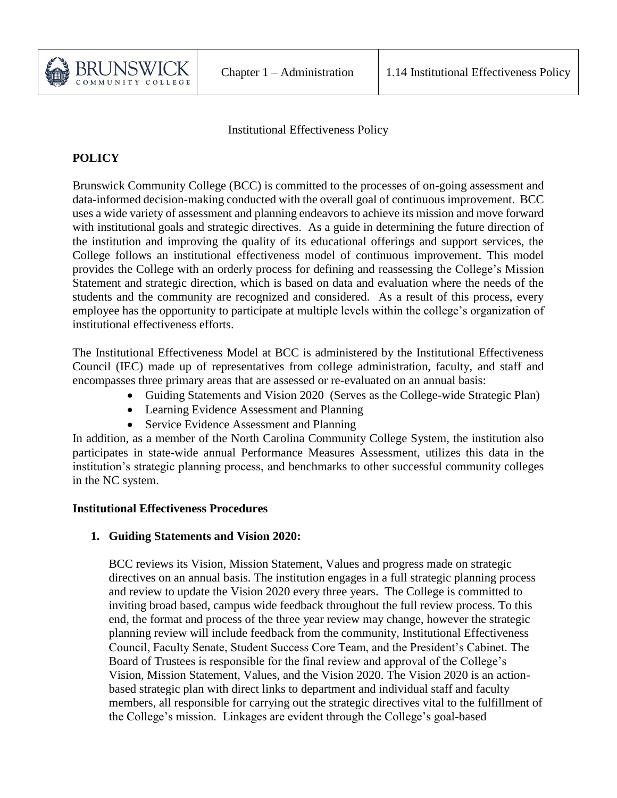

Institutional Effectiveness Policy

# **POLICY**

Brunswick Community College (BCC) is committed to the processes of on-going assessment and data-informed decision-making conducted with the overall goal of continuous improvement. BCC uses a wide variety of assessment and planning endeavors to achieve its mission and move forward with institutional goals and strategic directives. As a guide in determining the future direction of the institution and improving the quality of its educational offerings and support services, the College follows an institutional effectiveness model of continuous improvement. This model provides the College with an orderly process for defining and reassessing the College's Mission Statement and strategic direction, which is based on data and evaluation where the needs of the students and the community are recognized and considered. As a result of this process, every employee has the opportunity to participate at multiple levels within the college's organization of institutional effectiveness efforts.

The Institutional Effectiveness Model at BCC is administered by the Institutional Effectiveness Council (IEC) made up of representatives from college administration, faculty, and staff and encompasses three primary areas that are assessed or re-evaluated on an annual basis:

- Guiding Statements and Vision 2020 (Serves as the College-wide Strategic Plan)
- Learning Evidence Assessment and Planning
- Service Evidence Assessment and Planning

In addition, as a member of the North Carolina Community College System, the institution also participates in state-wide annual Performance Measures Assessment, utilizes this data in the institution's strategic planning process, and benchmarks to other successful community colleges in the NC system.

## **Institutional Effectiveness Procedures**

## **1. Guiding Statements and Vision 2020:**

BCC reviews its Vision, Mission Statement, Values and progress made on strategic directives on an annual basis. The institution engages in a full strategic planning process and review to update the Vision 2020 every three years. The College is committed to inviting broad based, campus wide feedback throughout the full review process. To this end, the format and process of the three year review may change, however the strategic planning review will include feedback from the community, Institutional Effectiveness Council, Faculty Senate, Student Success Core Team, and the President's Cabinet. The Board of Trustees is responsible for the final review and approval of the College's Vision, Mission Statement, Values, and the Vision 2020. The Vision 2020 is an actionbased strategic plan with direct links to department and individual staff and faculty members, all responsible for carrying out the strategic directives vital to the fulfillment of the College's mission. Linkages are evident through the College's goal-based